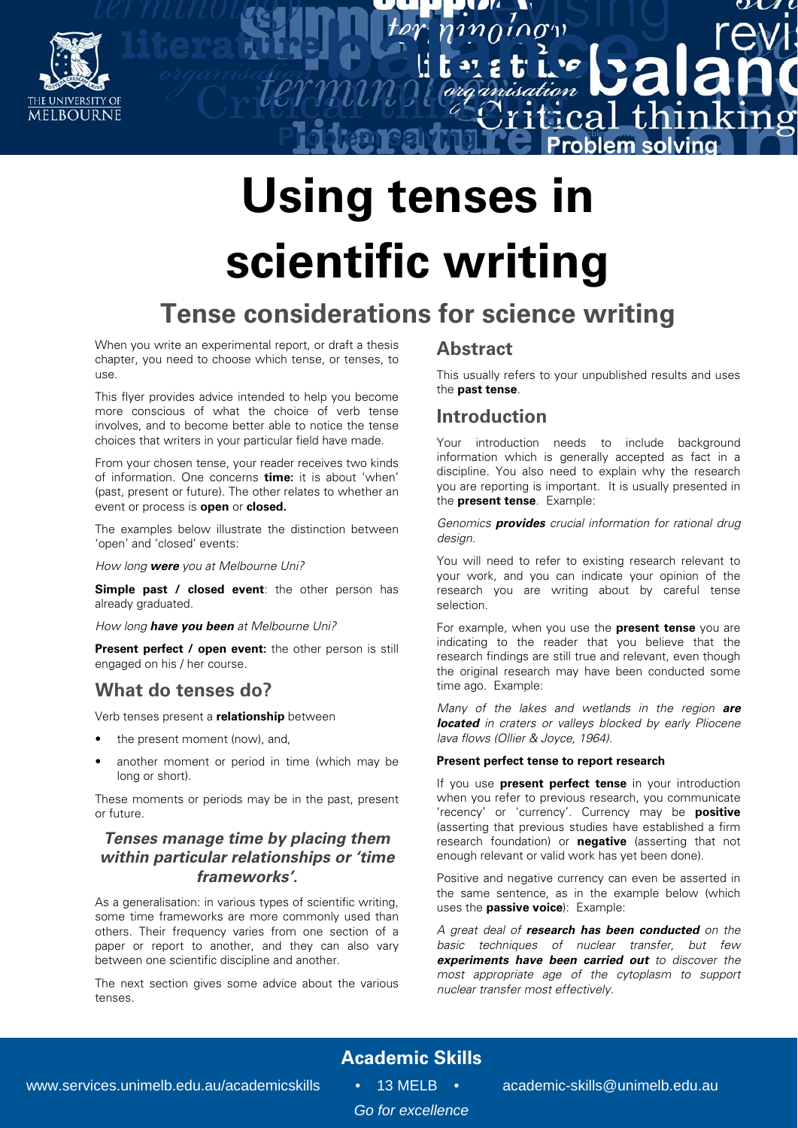

# **Using tenses in scientific writing**

## **Tense considerations for science writing**

When you write an experimental report, or draft a thesis chapter, you need to choose which tense, or tenses, to use.

This flyer provides advice intended to help you become more conscious of what the choice of verb tense involves, and to become better able to notice the tense choices that writers in your particular field have made.

From your chosen tense, your reader receives two kinds of information. One concerns **time:** it is about 'when' (past, present or future). The other relates to whether an event or process is **open** or **closed.** 

The examples below illustrate the distinction between 'open' and 'closed' events:

How long **were** you at Melbourne Uni?

**Simple past / closed event**: the other person has already graduated.

How long **have you been** at Melbourne Uni?

**Present perfect / open event:** the other person is still engaged on his / her course.

## **What do tenses do?**

Verb tenses present a **relationship** between

- the present moment (now), and,
- another moment or period in time (which may be long or short).

These moments or periods may be in the past, present or future.

## **Tenses manage time by placing them within particular relationships or 'time frameworks'.**

As a generalisation: in various types of scientific writing, some time frameworks are more commonly used than others. Their frequency varies from one section of a paper or report to another, and they can also vary between one scientific discipline and another.

The next section gives some advice about the various tenses.

## **Abstract**

This usually refers to your unpublished results and uses the **past tense**.

 $\mathcal{L}(\mathcal{T})$ 

 $\dot{c}$ .ca

thin

blem solvinc

ำท่

## **Introduction**

Your introduction needs to include background information which is generally accepted as fact in a discipline. You also need to explain why the research you are reporting is important. It is usually presented in the **present tense**.Example:

Genomics **provides** crucial information for rational drug design.

You will need to refer to existing research relevant to your work, and you can indicate your opinion of the research you are writing about by careful tense selection.

For example, when you use the **present tense** you are indicating to the reader that you believe that the research findings are still true and relevant, even though the original research may have been conducted some time ago. Example:

Many of the lakes and wetlands in the region **are located** in craters or valleys blocked by early Pliocene lava flows (Ollier & Joyce, 1964).

#### **Present perfect tense to report research**

If you use **present perfect tense** in your introduction when you refer to previous research, you communicate 'recency' or 'currency'. Currency may be **positive**  (asserting that previous studies have established a firm research foundation) or **negative** (asserting that not enough relevant or valid work has yet been done).

Positive and negative currency can even be asserted in the same sentence, as in the example below (which uses the **passive voice**): Example:

A great deal of **research has been conducted** on the basic techniques of nuclear transfer, but few **experiments have been carried out** to discover the most appropriate age of the cytoplasm to support nuclear transfer most effectively.

## **Academic Skills**

*Go for excellence*